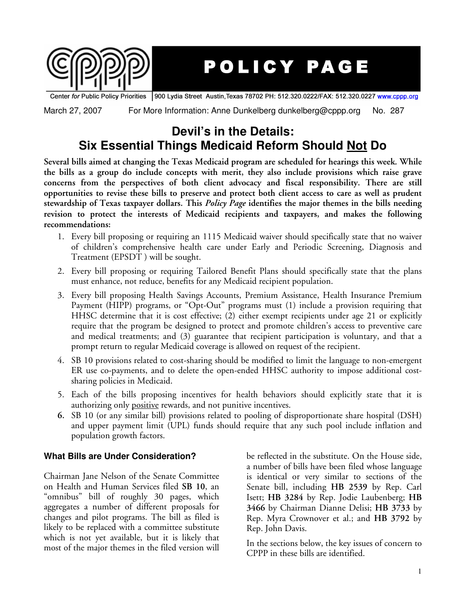

## POLICY PAGE

900 Lydia Street Austin, Texas 78702 PH: 512.320.0222/FAX: 512.320.0227 www.cppp.org Center for Public Policy Priorities

March 27, 2007 For More Information: Anne Dunkelberg dunkelberg@cppp.org No. 287

## **Devil's in the Details: Six Essential Things Medicaid Reform Should Not Do**

**Several bills aimed at changing the Texas Medicaid program are scheduled for hearings this week. While the bills as a group do include concepts with merit, they also include provisions which raise grave concerns from the perspectives of both client advocacy and fiscal responsibility. There are still** opportunities to revise these bills to preserve and protect both client access to care as well as prudent **stewardship of Texas taxpayer dollars. This** *Policy Page* **identifies the major themes in the bills needing revision to protect the interests of Medicaid recipients and taxpayers, and makes the following recommendations:**

- 1. Every bill proposing or requiring an 1115 Medicaid waiver should specifically state that no waiver of children's comprehensive health care under Early and Periodic Screening, Diagnosis and Treatment (EPSDT ) will be sought.
- 2. Every bill proposing or requiring Tailored Benefit Plans should specifically state that the plans must enhance, not reduce, benefits for any Medicaid recipient population.
- 3. Every bill proposing Health Savings Accounts, Premium Assistance, Health Insurance Premium Payment (HIPP) programs, or "Opt-Out" programs must (1) include a provision requiring that HHSC determine that it is cost effective; (2) either exempt recipients under age 21 or explicitly require that the program be designed to protect and promote children's access to preventive care and medical treatments; and (3) guarantee that recipient participation is voluntary, and that a prompt return to regular Medicaid coverage is allowed on request of the recipient.
- 4. SB 10 provisions related to cost-sharing should be modified to limit the language to non-emergent ER use co-payments, and to delete the open-ended HHSC authority to impose additional costsharing policies in Medicaid.
- 5. Each of the bills proposing incentives for health behaviors should explicitly state that it is authorizing only positive rewards, and not punitive incentives.
- **6.** SB 10 (or any similar bill) provisions related to pooling of disproportionate share hospital (DSH) and upper payment limit (UPL) funds should require that any such pool include inflation and population growth factors.

## **What Bills are Under Consideration?**

Chairman Jane Nelson of the Senate Committee on Health and Human Services filed **SB 10**, an "omnibus" bill of roughly 30 pages, which aggregates a number of different proposals for changes and pilot programs. The bill as filed is likely to be replaced with a committee substitute which is not yet available, but it is likely that most of the major themes in the filed version will

be reflected in the substitute. On the House side, a number of bills have been filed whose language is identical or very similar to sections of the Senate bill, including **HB 2539** by Rep. Carl Isett; **HB 3284** by Rep. Jodie Laubenberg; **HB 3466** by Chairman Dianne Delisi; **HB 3733** by Rep. Myra Crownover et al.; and **HB 3792** by Rep. John Davis.

In the sections below, the key issues of concern to CPPP in these bills are identified.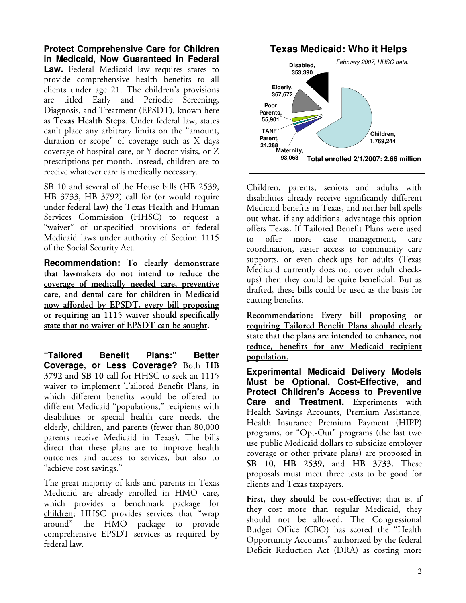**Protect Comprehensive Care for Children in Medicaid, Now Guaranteed in Federal Law.** Federal Medicaid law requires states to provide comprehensive health benefits to all clients under age 21. The children's provisions are titled Early and Periodic Screening, Diagnosis, and Treatment (EPSDT), known here as **Texas Health Steps**. Under federal law, states can't place any arbitrary limits on the "amount, duration or scope" of coverage such as X days coverage of hospital care, or Y doctor visits, or Z prescriptions per month. Instead, children are to receive whatever care is medically necessary.

SB 10 and several of the House bills (HB 2539, HB 3733, HB 3792) call for (or would require under federal law) the Texas Health and Human Services Commission (HHSC) to request a "waiver" of unspecified provisions of federal Medicaid laws under authority of Section 1115 of the Social Security Act.

**Recommendation: To clearly demonstrate that lawmakers do not intend to reduce the coverage of medically needed care, preventive care, and dental care for children in Medicaid now afforded by EPSDT, every bill proposing or requiring an 1115 waiver should specifically state that no waiver of EPSDT can be sought.**

**"Tailored Benefit Plans:" Better Coverage, or Less Coverage?** Both **HB 3792** and **SB 10** call for HHSC to seek an 1115 waiver to implement Tailored Benefit Plans, in which different benefits would be offered to different Medicaid "populations," recipients with disabilities or special health care needs, the elderly, children, and parents (fewer than 80,000 parents receive Medicaid in Texas). The bills direct that these plans are to improve health outcomes and access to services, but also to "achieve cost savings."

The great majority of kids and parents in Texas Medicaid are already enrolled in HMO care, which provides a benchmark package for children; HHSC provides services that "wrap around" the HMO package to provide comprehensive EPSDT services as required by federal law.



Children, parents, seniors and adults with disabilities already receive significantly different Medicaid benefits in Texas, and neither bill spells out what, if any additional advantage this option offers Texas. If Tailored Benefit Plans were used to offer more case management, care coordination, easier access to community care supports, or even check-ups for adults (Texas Medicaid currently does not cover adult checkups) then they could be quite beneficial. But as drafted, these bills could be used as the basis for cutting benefits.

**Recommendation: Every bill proposing or requiring Tailored Benefit Plans should clearly state that the plans are intended to enhance, not reduce, benefits for any Medicaid recipient population.**

**Experimental Medicaid Delivery Models Must be Optional, Cost-Effective, and Protect Children's Access to Preventive Care and Treatment.** Experiments with Health Savings Accounts, Premium Assistance, Health Insurance Premium Payment (HIPP) programs, or "Opt-Out" programs (the last two use public Medicaid dollars to subsidize employer coverage or other private plans) are proposed in **SB 10, HB 2539,** and **HB 3733.** These proposals must meet three tests to be good for clients and Texas taxpayers.

**First, they should be cost-effective**; that is, if they cost more than regular Medicaid, they should not be allowed. The Congressional Budget Office (CBO) has scored the "Health Opportunity Accounts" authorized by the federal Deficit Reduction Act (DRA) as costing more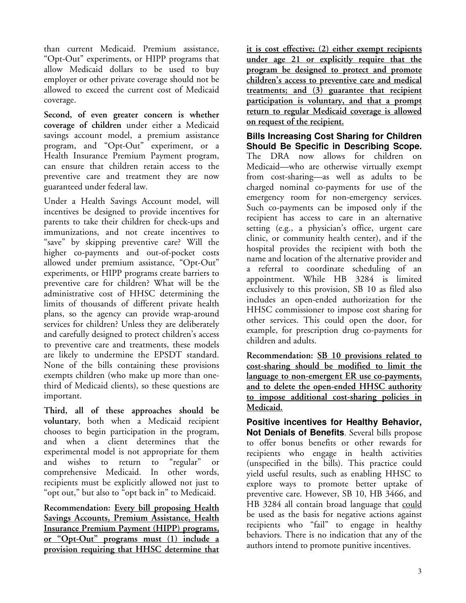than current Medicaid. Premium assistance, "Opt-Out" experiments, or HIPP programs that allow Medicaid dollars to be used to buy employer or other private coverage should not be allowed to exceed the current cost of Medicaid coverage.

**Second, of even greater concern is whether coverage of children** under either a Medicaid savings account model, a premium assistance program, and "Opt-Out" experiment, or a Health Insurance Premium Payment program, can ensure that children retain access to the preventive care and treatment they are now guaranteed under federal law.

Under a Health Savings Account model, will incentives be designed to provide incentives for parents to take their children for check-ups and immunizations, and not create incentives to "save" by skipping preventive care? Will the higher co-payments and out-of-pocket costs allowed under premium assistance, "Opt-Out" experiments, or HIPP programs create barriers to preventive care for children? What will be the administrative cost of HHSC determining the limits of thousands of different private health plans, so the agency can provide wrap-around services for children? Unless they are deliberately and carefully designed to protect children's access to preventive care and treatments, these models are likely to undermine the EPSDT standard. None of the bills containing these provisions exempts children (who make up more than onethird of Medicaid clients), so these questions are important.

**Third, all of these approaches should be voluntary**, both when a Medicaid recipient chooses to begin participation in the program, and when a client determines that the experimental model is not appropriate for them<br>and wishes to return to "regular" or and wishes to return to comprehensive Medicaid. In other words, recipients must be explicitly allowed not just to "opt out," but also to "opt back in" to Medicaid.

**Recommendation: Every bill proposing Health Savings Accounts, Premium Assistance, Health Insurance Premium Payment (HIPP) programs, or "Opt-Out" programs must (1) include a provision requiring that HHSC determine that**

**it is cost effective; (2) either exempt recipients under age 21 or explicitly require that the program be designed to protect and promote children's access to preventive care and medical treatments; and (3) guarantee that recipient participation is voluntary, and that a prompt return to regular Medicaid coverage is allowed on request of the recipient.**

**Bills Increasing Cost Sharing for Children Should Be Specific in Describing Scope.** The DRA now allows for children on Medicaid—who are otherwise virtually exempt from cost-sharing—as well as adults to be charged nominal co-payments for use of the emergency room for non-emergency services. Such co-payments can be imposed only if the recipient has access to care in an alternative setting (e.g., a physician's office, urgent care clinic, or community health center), and if the hospital provides the recipient with both the name and location of the alternative provider and a referral to coordinate scheduling of an appointment. While HB 3284 is limited exclusively to this provision, SB 10 as filed also includes an open-ended authorization for the HHSC commissioner to impose cost sharing for other services. This could open the door, for example, for prescription drug co-payments for children and adults.

**Recommendation: SB 10 provisions related to cost-sharing should be modified to limit the language to non-emergent ER use co-payments, and to delete the open-ended HHSC authority to impose additional cost-sharing policies in Medicaid.**

**Positive incentives for Healthy Behavior, Not Denials of Benefits**- Several bills propose to offer bonus benefits or other rewards for recipients who engage in health activities (unspecified in the bills). This practice could yield useful results, such as enabling HHSC to explore ways to promote better uptake of preventive care. However, SB 10, HB 3466, and HB 3284 all contain broad language that could be used as the basis for negative actions against recipients who "fail" to engage in healthy behaviors. There is no indication that any of the authors intend to promote punitive incentives.